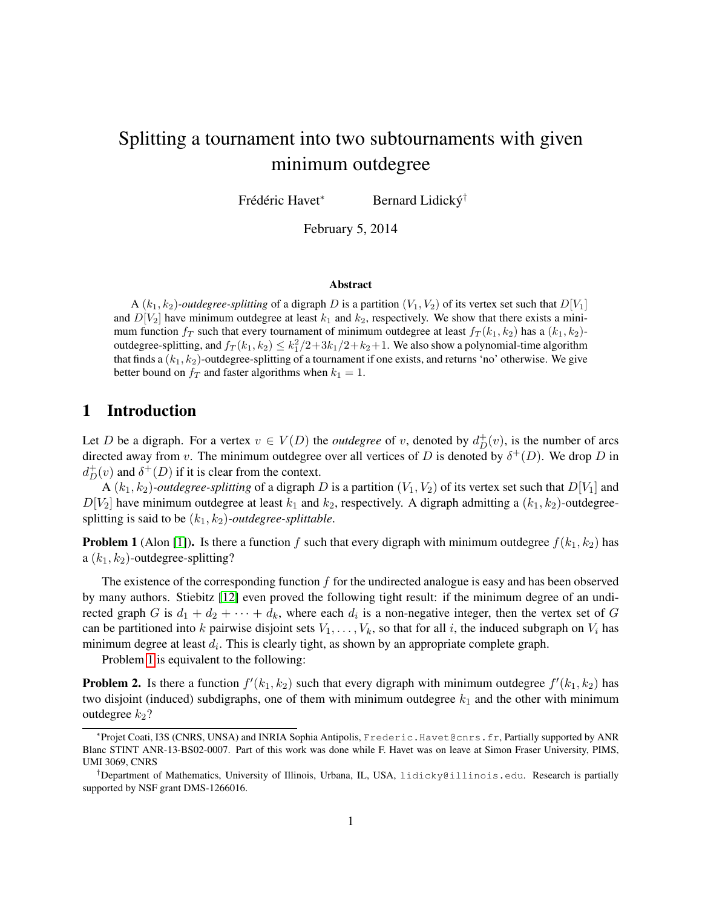# Splitting a tournament into two subtournaments with given minimum outdegree

Frédéric Havet\* <sup>∗</sup> Bernard Lidicky´ †

February 5, 2014

#### Abstract

A  $(k_1, k_2)$ -*outdegree-splitting* of a digraph D is a partition  $(V_1, V_2)$  of its vertex set such that  $D[V_1]$ and  $D[V_2]$  have minimum outdegree at least  $k_1$  and  $k_2$ , respectively. We show that there exists a minimum function  $f_T$  such that every tournament of minimum outdegree at least  $f_T(k_1, k_2)$  has a  $(k_1, k_2)$ outdegree-splitting, and  $f_T(k_1, k_2) \leq k_1^2/2 + 3k_1/2 + k_2 + 1$ . We also show a polynomial-time algorithm that finds a  $(k_1, k_2)$ -outdegree-splitting of a tournament if one exists, and returns 'no' otherwise. We give better bound on  $f_T$  and faster algorithms when  $k_1 = 1$ .

## 1 Introduction

Let D be a digraph. For a vertex  $v \in V(D)$  the *outdegree* of v, denoted by  $d^+_D(v)$ , is the number of arcs directed away from v. The minimum outdegree over all vertices of D is denoted by  $\delta^+(D)$ . We drop D in  $d_D^+(v)$  and  $\delta^+(D)$  if it is clear from the context.

A  $(k_1, k_2)$ -outdegree-splitting of a digraph D is a partition  $(V_1, V_2)$  of its vertex set such that  $D[V_1]$  and  $D[V_2]$  have minimum outdegree at least  $k_1$  and  $k_2$ , respectively. A digraph admitting a  $(k_1, k_2)$ -outdegreesplitting is said to be  $(k_1, k_2)$ *-outdegree-splittable.* 

<span id="page-0-0"></span>**Problem 1** (Alon [\[1\]](#page-13-0)). Is there a function f such that every digraph with minimum outdegree  $f(k_1, k_2)$  has a  $(k_1, k_2)$ -outdegree-splitting?

The existence of the corresponding function  $f$  for the undirected analogue is easy and has been observed by many authors. Stiebitz [\[12\]](#page-14-0) even proved the following tight result: if the minimum degree of an undirected graph G is  $d_1 + d_2 + \cdots + d_k$ , where each  $d_i$  is a non-negative integer, then the vertex set of G can be partitioned into k pairwise disjoint sets  $V_1, \ldots, V_k$ , so that for all i, the induced subgraph on  $V_i$  has minimum degree at least  $d_i$ . This is clearly tight, as shown by an appropriate complete graph.

Problem [1](#page-0-0) is equivalent to the following:

**Problem 2.** Is there a function  $f'(k_1, k_2)$  such that every digraph with minimum outdegree  $f'(k_1, k_2)$  has two disjoint (induced) subdigraphs, one of them with minimum outdegree  $k_1$  and the other with minimum outdegree  $k_2$ ?

<sup>∗</sup> Projet Coati, I3S (CNRS, UNSA) and INRIA Sophia Antipolis, Frederic.Havet@cnrs.fr, Partially supported by ANR Blanc STINT ANR-13-BS02-0007. Part of this work was done while F. Havet was on leave at Simon Fraser University, PIMS, UMI 3069, CNRS

<sup>†</sup>Department of Mathematics, University of Illinois, Urbana, IL, USA, lidicky@illinois.edu. Research is partially supported by NSF grant DMS-1266016.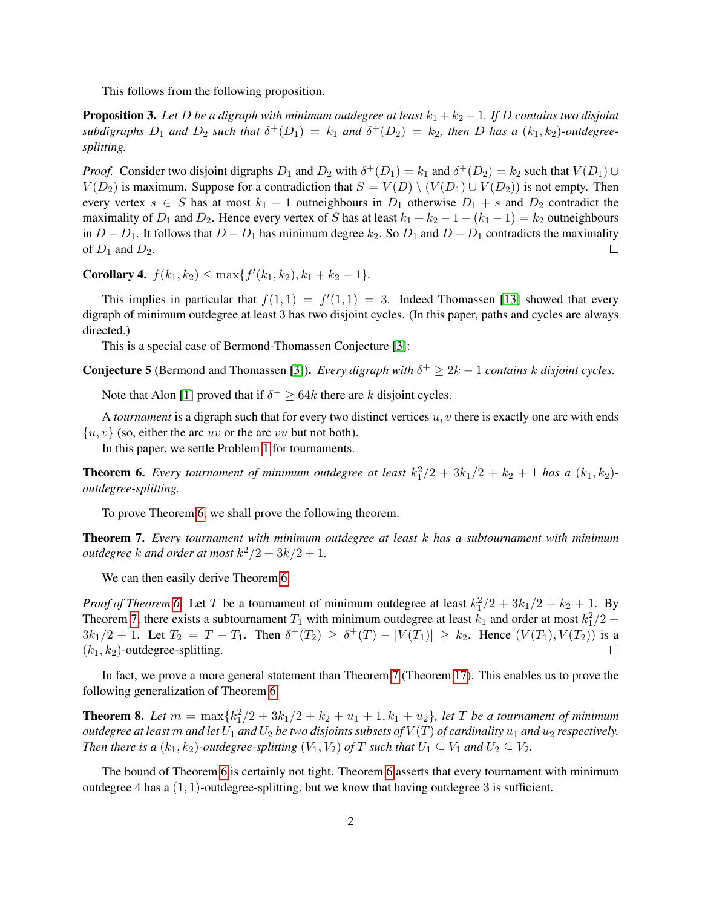This follows from the following proposition.

<span id="page-1-2"></span>**Proposition 3.** Let D be a digraph with minimum outdegree at least  $k_1 + k_2 - 1$ . If D contains two disjoint  $subdigraphs$   $D_1$  and  $D_2$  such that  $\delta^+(D_1) = k_1$  and  $\delta^+(D_2) = k_2$ , then  $D$  has a  $(k_1, k_2)$ -outdegree*splitting.*

*Proof.* Consider two disjoint digraphs  $D_1$  and  $D_2$  with  $\delta^+(D_1) = k_1$  and  $\delta^+(D_2) = k_2$  such that  $V(D_1) \cup V(D_2)$  $V(D_2)$  is maximum. Suppose for a contradiction that  $S = V(D) \setminus (V(D_1) \cup V(D_2))$  is not empty. Then every vertex  $s \in S$  has at most  $k_1 - 1$  outneighbours in  $D_1$  otherwise  $D_1 + s$  and  $D_2$  contradict the maximality of  $D_1$  and  $D_2$ . Hence every vertex of S has at least  $k_1 + k_2 - 1 - (k_1 - 1) = k_2$  outneighbours in  $D - D_1$ . It follows that  $D - D_1$  has minimum degree  $k_2$ . So  $D_1$  and  $D - D_1$  contradicts the maximality of  $D_1$  and  $D_2$ .  $\Box$ 

**Corollary 4.**  $f(k_1, k_2) \le \max\{f'(k_1, k_2), k_1 + k_2 - 1\}.$ 

This implies in particular that  $f(1,1) = f'(1,1) = 3$ . Indeed Thomassen [\[13\]](#page-14-1) showed that every digraph of minimum outdegree at least 3 has two disjoint cycles. (In this paper, paths and cycles are always directed.)

This is a special case of Bermond-Thomassen Conjecture [\[3\]](#page-13-1):

**Conjecture 5** (Bermond and Thomassen [\[3\]](#page-13-1)). *Every digraph with*  $\delta^+ \geq 2k - 1$  *contains* k *disjoint cycles.* 

Note that Alon [\[1\]](#page-13-0) proved that if  $\delta^+ \geq 64k$  there are k disjoint cycles.

A *tournament* is a digraph such that for every two distinct vertices u, v there is exactly one arc with ends  $\{u, v\}$  (so, either the arc uv or the arc vu but not both).

In this paper, we settle Problem [1](#page-0-0) for tournaments.

<span id="page-1-0"></span>**Theorem 6.** Every tournament of minimum outdegree at least  $k_1^2/2 + 3k_1/2 + k_2 + 1$  has a  $(k_1, k_2)$ *outdegree-splitting.*

To prove Theorem [6,](#page-1-0) we shall prove the following theorem.

<span id="page-1-1"></span>Theorem 7. *Every tournament with minimum outdegree at least* k *has a subtournament with minimum outdegree*  $k$  *and order at most*  $k^2/2 + 3k/2 + 1$ *.* 

We can then easily derive Theorem [6.](#page-1-0)

*Proof of Theorem* [6.](#page-1-0) Let T be a tournament of minimum outdegree at least  $k_1^2/2 + 3k_1/2 + k_2 + 1$ . By Theorem [7,](#page-1-1) there exists a subtournament  $T_1$  with minimum outdegree at least  $k_1$  and order at most  $k_1^2/2$  +  $3k_1/2 + 1$ . Let  $T_2 = T - T_1$ . Then  $\delta^+(T_2) \ge \delta^+(T) - |V(T_1)| \ge k_2$ . Hence  $(V(T_1), V(T_2))$  is a  $(k_1, k_2)$ -outdegree-splitting.  $\Box$ 

In fact, we prove a more general statement than Theorem [7](#page-1-1) (Theorem [17\)](#page-4-0). This enables us to prove the following generalization of Theorem [6.](#page-1-0)

<span id="page-1-3"></span>**Theorem 8.** Let  $m = \max\{k_1^2/2 + 3k_1/2 + k_2 + u_1 + 1, k_1 + u_2\}$ , let T be a tournament of minimum *outdegree at least* m *and let*  $U_1$  *and*  $U_2$  *be two disjoints subsets of*  $V(T)$  *of cardinality*  $u_1$  *and*  $u_2$  *respectively. Then there is a*  $(k_1, k_2)$ *-outdegree-splitting*  $(V_1, V_2)$  *of* T *such that*  $U_1 \subseteq V_1$  *and*  $U_2 \subseteq V_2$ *.* 

The bound of Theorem [6](#page-1-0) is certainly not tight. Theorem [6](#page-1-0) asserts that every tournament with minimum outdegree  $4$  has a  $(1, 1)$ -outdegree-splitting, but we know that having outdegree  $3$  is sufficient.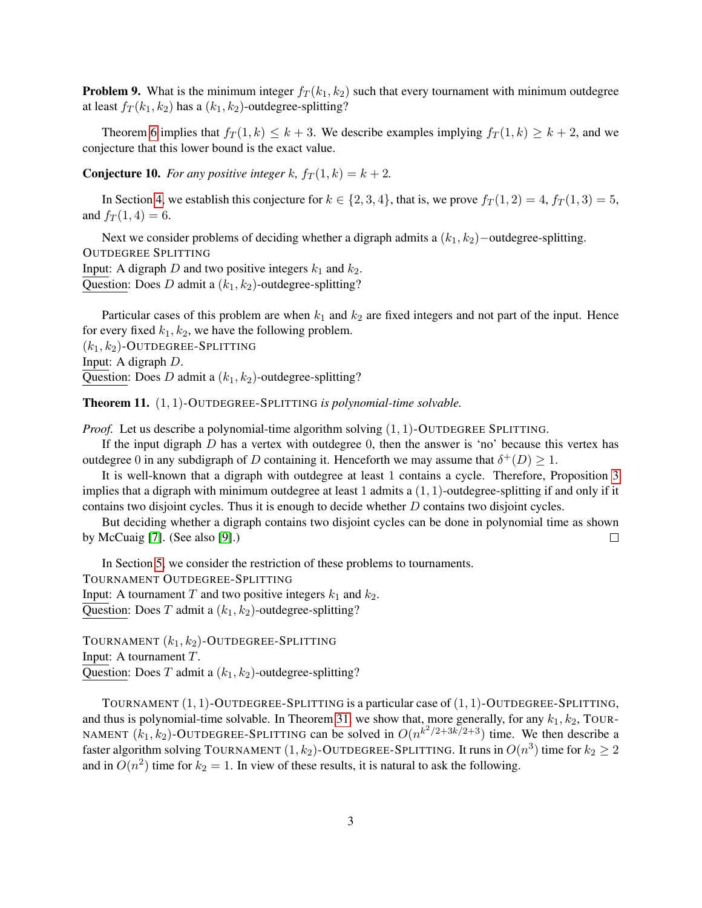**Problem 9.** What is the minimum integer  $f_T(k_1, k_2)$  such that every tournament with minimum outdegree at least  $f_T(k_1, k_2)$  has a  $(k_1, k_2)$ -outdegree-splitting?

Theorem [6](#page-1-0) implies that  $f_T(1, k) \leq k+3$ . We describe examples implying  $f_T(1, k) \geq k+2$ , and we conjecture that this lower bound is the exact value.

**Conjecture 10.** For any positive integer k,  $f_T(1, k) = k + 2$ .

In Section [4,](#page-6-0) we establish this conjecture for  $k \in \{2, 3, 4\}$ , that is, we prove  $f_T(1, 2) = 4$ ,  $f_T(1, 3) = 5$ , and  $f_T(1, 4) = 6$ .

Next we consider problems of deciding whether a digraph admits a  $(k_1, k_2)$  −outdegree-splitting. OUTDEGREE SPLITTING Input: A digraph D and two positive integers  $k_1$  and  $k_2$ . Question: Does D admit a  $(k_1, k_2)$ -outdegree-splitting?

Particular cases of this problem are when  $k_1$  and  $k_2$  are fixed integers and not part of the input. Hence for every fixed  $k_1, k_2$ , we have the following problem.

 $(k_1, k_2)$ -OUTDEGREE-SPLITTING Input: A digraph D. Question: Does D admit a  $(k_1, k_2)$ -outdegree-splitting?

<span id="page-2-0"></span>Theorem 11. (1, 1)-OUTDEGREE-SPLITTING *is polynomial-time solvable.*

*Proof.* Let us describe a polynomial-time algorithm solving  $(1, 1)$ -OUTDEGREE SPLITTING.

If the input digraph  $D$  has a vertex with outdegree 0, then the answer is 'no' because this vertex has outdegree 0 in any subdigraph of D containing it. Henceforth we may assume that  $\delta^+(D) \geq 1$ .

It is well-known that a digraph with outdegree at least 1 contains a cycle. Therefore, Proposition [3](#page-1-2) implies that a digraph with minimum outdegree at least 1 admits a  $(1, 1)$ -outdegree-splitting if and only if it contains two disjoint cycles. Thus it is enough to decide whether  $D$  contains two disjoint cycles.

But deciding whether a digraph contains two disjoint cycles can be done in polynomial time as shown by McCuaig [\[7\]](#page-14-2). (See also [\[9\]](#page-14-3).)  $\Box$ 

In Section [5,](#page-9-0) we consider the restriction of these problems to tournaments. TOURNAMENT OUTDEGREE-SPLITTING Input: A tournament T and two positive integers  $k_1$  and  $k_2$ . Question: Does T admit a  $(k_1, k_2)$ -outdegree-splitting?

TOURNAMENT  $(k_1, k_2)$ -OUTDEGREE-SPLITTING Input: A tournament T. Question: Does T admit a  $(k_1, k_2)$ -outdegree-splitting?

TOURNAMENT  $(1, 1)$ -OUTDEGREE-SPLITTING is a particular case of  $(1, 1)$ -OUTDEGREE-SPLITTING, and thus is polynomial-time solvable. In Theorem [31,](#page-9-1) we show that, more generally, for any  $k_1, k_2$ , TOUR-NAMENT  $(k_1, k_2)$ -OUTDEGREE-SPLITTING can be solved in  $O(n^{k^2/2+3k/2+3})$  time. We then describe a faster algorithm solving TOURNAMENT  $(1,k_2)$ -OUTDEGREE-SPLITTING. It runs in  $O(n^3)$  time for  $k_2 \geq 2$ and in  $O(n^2)$  time for  $k_2 = 1$ . In view of these results, it is natural to ask the following.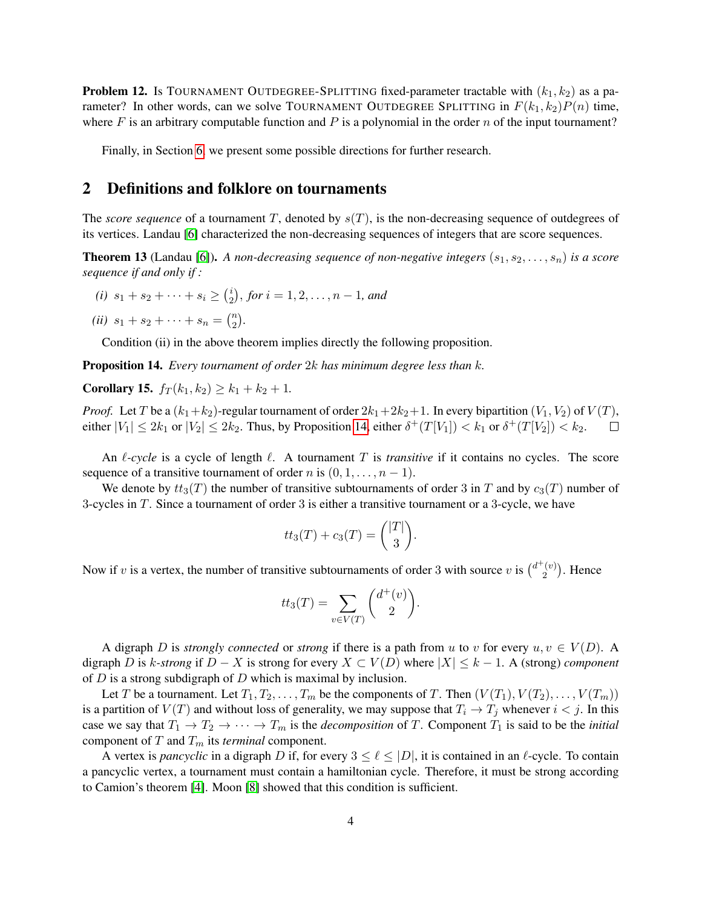**Problem 12.** Is TOURNAMENT OUTDEGREE-SPLITTING fixed-parameter tractable with  $(k_1, k_2)$  as a parameter? In other words, can we solve TOURNAMENT OUTDEGREE SPLITTING in  $F(k_1, k_2)P(n)$  time, where F is an arbitrary computable function and P is a polynomial in the order n of the input tournament?

Finally, in Section [6,](#page-12-0) we present some possible directions for further research.

# 2 Definitions and folklore on tournaments

The *score sequence* of a tournament T, denoted by  $s(T)$ , is the non-decreasing sequence of outdegrees of its vertices. Landau [\[6\]](#page-14-4) characterized the non-decreasing sequences of integers that are score sequences.

**Theorem 13** (Landau [\[6\]](#page-14-4)). A non-decreasing sequence of non-negative integers  $(s_1, s_2, \ldots, s_n)$  is a score *sequence if and only if :*

- *(i)*  $s_1 + s_2 + \cdots + s_i \geq {i \choose 2}$  $\binom{i}{2}$ , for  $i = 1, 2, \ldots, n - 1$ , and
- (*ii*)  $s_1 + s_2 + \cdots + s_n = {n \choose 2}$  $\binom{n}{2}$ .

Condition (ii) in the above theorem implies directly the following proposition.

<span id="page-3-0"></span>Proposition 14. *Every tournament of order* 2k *has minimum degree less than* k*.*

<span id="page-3-1"></span>**Corollary 15.**  $f_T(k_1, k_2) \geq k_1 + k_2 + 1$ .

*Proof.* Let T be a  $(k_1+k_2)$ -regular tournament of order  $2k_1+2k_2+1$ . In every bipartition  $(V_1, V_2)$  of  $V(T)$ , either  $|V_1| \leq 2k_1$  or  $|V_2| \leq 2k_2$ . Thus, by Proposition [14,](#page-3-0) either  $\delta^+(T[V_1]) < k_1$  or  $\delta^+(T[V_2]) < k_2$ .

An  $\ell$ -cycle is a cycle of length  $\ell$ . A tournament T is *transitive* if it contains no cycles. The score sequence of a transitive tournament of order n is  $(0, 1, \ldots, n - 1)$ .

We denote by  $tt_3(T)$  the number of transitive subtournaments of order 3 in T and by  $c_3(T)$  number of 3-cycles in T. Since a tournament of order 3 is either a transitive tournament or a 3-cycle, we have

$$
tt_3(T) + c_3(T) = \binom{|T|}{3}.
$$

Now if v is a vertex, the number of transitive subtournaments of order 3 with source v is  $\binom{d^+(v)}{2}$  $\binom{v}{2}$ . Hence

$$
tt_3(T) = \sum_{v \in V(T)} \binom{d^+(v)}{2}.
$$

A digraph D is *strongly connected* or *strong* if there is a path from u to v for every  $u, v \in V(D)$ . A digraph D is k-strong if  $D - X$  is strong for every  $X \subset V(D)$  where  $|X| \leq k - 1$ . A (strong) *component* of  $D$  is a strong subdigraph of  $D$  which is maximal by inclusion.

Let T be a tournament. Let  $T_1, T_2, \ldots, T_m$  be the components of T. Then  $(V(T_1), V(T_2), \ldots, V(T_m))$ is a partition of  $V(T)$  and without loss of generality, we may suppose that  $T_i \to T_j$  whenever  $i < j$ . In this case we say that  $T_1 \to T_2 \to \cdots \to T_m$  is the *decomposition* of T. Component  $T_1$  is said to be the *initial* component of  $T$  and  $T_m$  its *terminal* component.

A vertex is *pancyclic* in a digraph D if, for every  $3 \leq \ell \leq |D|$ , it is contained in an  $\ell$ -cycle. To contain a pancyclic vertex, a tournament must contain a hamiltonian cycle. Therefore, it must be strong according to Camion's theorem [\[4\]](#page-13-2). Moon [\[8\]](#page-14-5) showed that this condition is sufficient.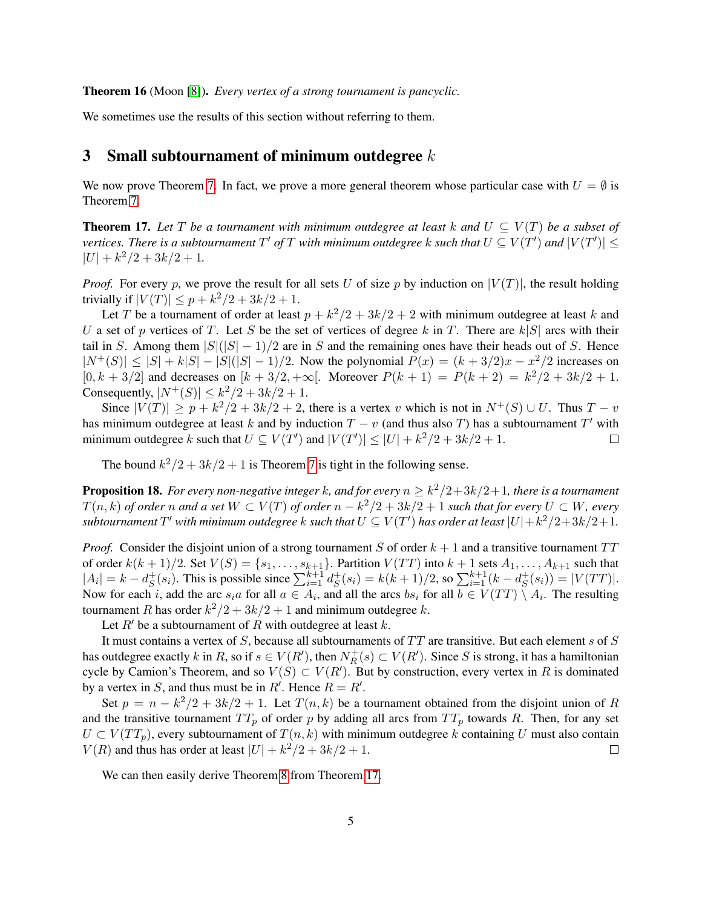<span id="page-4-1"></span>Theorem 16 (Moon [\[8\]](#page-14-5)). *Every vertex of a strong tournament is pancyclic.*

We sometimes use the results of this section without referring to them.

## 3 Small subtournament of minimum outdegree  $k$

We now prove Theorem [7.](#page-1-1) In fact, we prove a more general theorem whose particular case with  $U = \emptyset$  is Theorem [7.](#page-1-1)

<span id="page-4-0"></span>**Theorem 17.** Let T be a tournament with minimum outdegree at least k and  $U \subseteq V(T)$  be a subset of vertices. There is a subtournament  $T'$  of  $T$  with minimum outdegree  $k$  such that  $U \subseteq V(T')$  and  $|V(T')| \leq$  $|U| + k^2/2 + 3k/2 + 1.$ 

*Proof.* For every p, we prove the result for all sets U of size p by induction on  $|V(T)|$ , the result holding trivially if  $|V(T)| \leq p + k^2/2 + 3k/2 + 1$ .

Let T be a tournament of order at least  $p + k^2/2 + 3k/2 + 2$  with minimum outdegree at least k and U a set of p vertices of T. Let S be the set of vertices of degree k in T. There are  $k|S|$  arcs with their tail in S. Among them  $|S|(|S|-1)/2$  are in S and the remaining ones have their heads out of S. Hence  $|N^+(S)| \leq |S| + k|S| - |S|(|S|-1)/2$ . Now the polynomial  $P(x) = (k+3/2)x - x^2/2$  increases on  $[0, k + 3/2]$  and decreases on  $[k + 3/2, +\infty]$ . Moreover  $P(k + 1) = P(k + 2) = k^2/2 + 3k/2 + 1$ . Consequently,  $|N^+(S)| \leq k^2/2 + 3k/2 + 1$ .

Since  $|V(T)| \ge p + k^2/2 + 3k/2 + 2$ , there is a vertex v which is not in  $N^+(S) \cup U$ . Thus  $T - v$ has minimum outdegree at least k and by induction  $T - v$  (and thus also T) has a subtournament T' with minimum outdegree k such that  $U \subseteq V(T')$  and  $|V(T')| \leq |U| + k^2/2 + 3k/2 + 1$ .  $\Box$ 

The bound  $k^2/2 + 3k/2 + 1$  is Theorem [7](#page-1-1) is tight in the following sense.

**Proposition 18.** For every non-negative integer  $k$ , and for every  $n \geq k^2/2 + 3k/2 + 1$ , there is a tournament  $T(n, k)$  *of order n and a set*  $W \subset V(T)$  *of order*  $n - k^2/2 + 3k/2 + 1$  *such that for every*  $U \subset W$ *, every*  $\tilde{C}$  *subtournament*  $T'$  with minimum outdegree  $k$  such that  $U \subseteq V(T')$  has order at least  $|U| + k^2/2 + 3k/2 + 1$ .

*Proof.* Consider the disjoint union of a strong tournament S of order  $k + 1$  and a transitive tournament  $TT$ of order  $k(k+1)/2$ . Set  $V(S) = \{s_1, \ldots, s_{k+1}\}\$ . Partition  $V(TT)$  into  $k+1$  sets  $A_1, \ldots, A_{k+1}$  such that  $|A_i| = k - d_s^+$  $S^+(s_i)$ . This is possible since  $\sum_{i=1}^{k+1} d_S^+$  $S^+(s_i) = k(k+1)/2$ , so  $\sum_{i=1}^{k+1} (k - d_S^+)$  $S^+(s_i)) = |V(TT)|.$ Now for each *i*, add the arc  $s_i a$  for all  $a \in A_i$ , and all the arcs  $bs_i$  for all  $b \in V(TT) \setminus A_i$ . The resulting tournament R has order  $k^2/2 + 3k/2 + 1$  and minimum outdegree k.

Let  $R'$  be a subtournament of R with outdegree at least k.

It must contains a vertex of  $S$ , because all subtournaments of  $TT$  are transitive. But each element s of  $S$ has outdegree exactly k in R, so if  $s \in V(R')$ , then  $N_R^+$  $R_R^+(s) \subset V(R')$ . Since S is strong, it has a hamiltonian cycle by Camion's Theorem, and so  $V(S) \subset V(R')$ . But by construction, every vertex in R is dominated by a vertex in S, and thus must be in R'. Hence  $R = R'$ .

Set  $p = n - k^2/2 + 3k/2 + 1$ . Let  $T(n, k)$  be a tournament obtained from the disjoint union of R and the transitive tournament  $TT_p$  of order p by adding all arcs from  $TT_p$  towards R. Then, for any set  $U \subset V(TT_p)$ , every subtournament of  $T(n, k)$  with minimum outdegree k containing U must also contain  $V(R)$  and thus has order at least  $|U| + k^2/2 + 3k/2 + 1$ .  $\Box$ 

We can then easily derive Theorem [8](#page-1-3) from Theorem [17.](#page-4-0)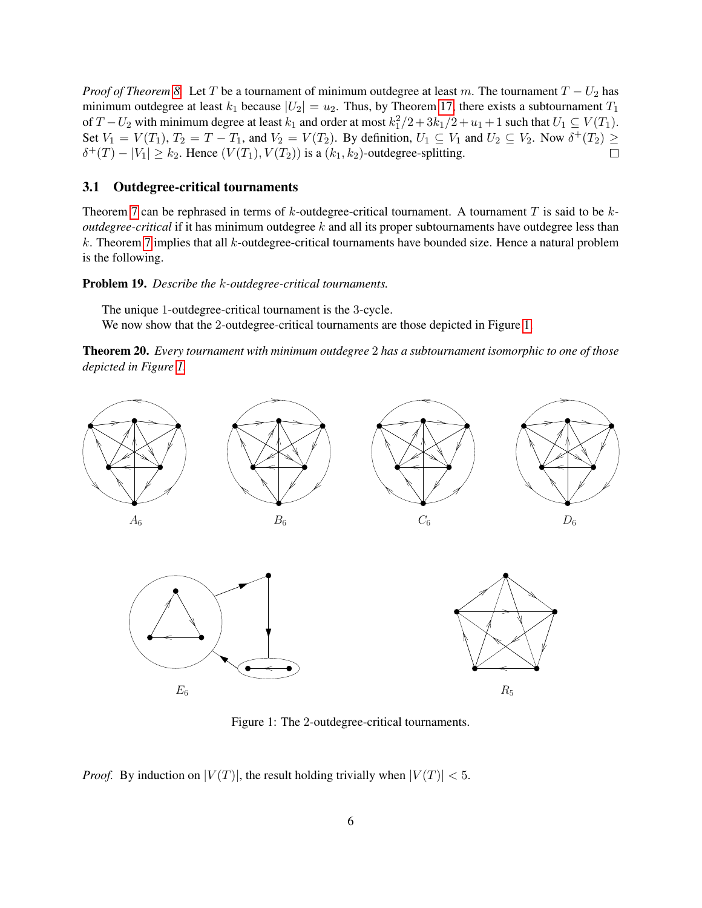*Proof of Theorem [8.](#page-1-3)* Let T be a tournament of minimum outdegree at least m. The tournament  $T - U_2$  has minimum outdegree at least  $k_1$  because  $|U_2| = u_2$ . Thus, by Theorem [17,](#page-4-0) there exists a subtournament  $T_1$ of T –  $U_2$  with minimum degree at least  $k_1$  and order at most  $k_1^2/2 + 3k_1/2 + u_1 + 1$  such that  $U_1 \subseteq V(T_1)$ . Set  $V_1 = V(T_1)$ ,  $T_2 = T - T_1$ , and  $V_2 = V(T_2)$ . By definition,  $U_1 \subseteq V_1$  and  $U_2 \subseteq V_2$ . Now  $\delta^+(T_2) \geq$  $\delta^+(T) - |V_1| \geq k_2$ . Hence  $(V(T_1), V(T_2))$  is a  $(k_1, k_2)$ -outdegree-splitting.  $\Box$ 

#### 3.1 Outdegree-critical tournaments

Theorem [7](#page-1-1) can be rephrased in terms of k-outdegree-critical tournament. A tournament T is said to be k*outdegree-critical* if it has minimum outdegree k and all its proper subtournaments have outdegree less than k. Theorem [7](#page-1-1) implies that all k-outdegree-critical tournaments have bounded size. Hence a natural problem is the following.

Problem 19. *Describe the* k*-outdegree-critical tournaments.*

The unique 1-outdegree-critical tournament is the 3-cycle. We now show that the 2-outdegree-critical tournaments are those depicted in Figure [1.](#page-5-0)

Theorem 20. *Every tournament with minimum outdegree* 2 *has a subtournament isomorphic to one of those depicted in Figure [1.](#page-5-0)*



<span id="page-5-0"></span>Figure 1: The 2-outdegree-critical tournaments.

*Proof.* By induction on  $|V(T)|$ , the result holding trivially when  $|V(T)| < 5$ .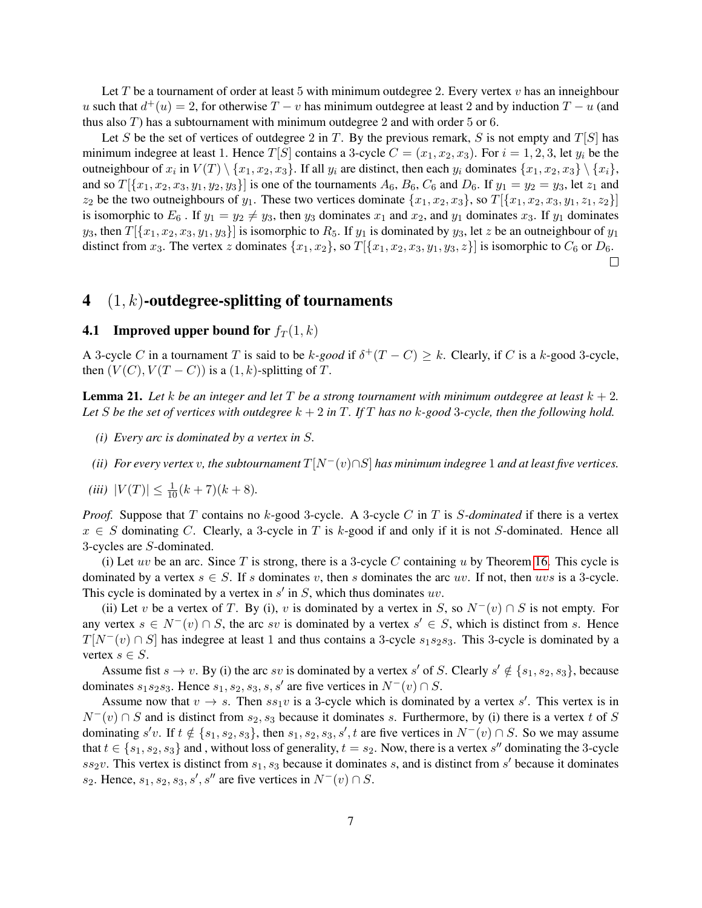Let T be a tournament of order at least 5 with minimum outdegree 2. Every vertex  $v$  has an inneighbour u such that  $d^+(u) = 2$ , for otherwise  $T - v$  has minimum outdegree at least 2 and by induction  $T - u$  (and thus also  $T$ ) has a subtournament with minimum outdegree 2 and with order 5 or 6.

Let S be the set of vertices of outdegree 2 in T. By the previous remark, S is not empty and  $T[S]$  has minimum indegree at least 1. Hence  $T[S]$  contains a 3-cycle  $C = (x_1, x_2, x_3)$ . For  $i = 1, 2, 3$ , let  $y_i$  be the outneighbour of  $x_i$  in  $V(T) \setminus \{x_1, x_2, x_3\}$ . If all  $y_i$  are distinct, then each  $y_i$  dominates  $\{x_1, x_2, x_3\} \setminus \{x_i\}$ , and so  $T[\{x_1, x_2, x_3, y_1, y_2, y_3\}]$  is one of the tournaments  $A_6$ ,  $B_6$ ,  $C_6$  and  $D_6$ . If  $y_1 = y_2 = y_3$ , let  $z_1$  and  $z_2$  be the two outneighbours of  $y_1$ . These two vertices dominate  $\{x_1, x_2, x_3\}$ , so  $T[\{x_1, x_2, x_3, y_1, z_1, z_2\}]$ is isomorphic to  $E_6$ . If  $y_1 = y_2 \neq y_3$ , then  $y_3$  dominates  $x_1$  and  $x_2$ , and  $y_1$  dominates  $x_3$ . If  $y_1$  dominates  $y_3$ , then  $T[\{x_1, x_2, x_3, y_1, y_3\}]$  is isomorphic to  $R_5$ . If  $y_1$  is dominated by  $y_3$ , let z be an outneighbour of  $y_1$ distinct from  $x_3$ . The vertex z dominates  $\{x_1, x_2\}$ , so  $T[\{x_1, x_2, x_3, y_1, y_3, z\}]$  is isomorphic to  $C_6$  or  $D_6$ .  $\Box$ 

#### <span id="page-6-0"></span>4  $(1, k)$ -outdegree-splitting of tournaments

# **4.1** Improved upper bound for  $f_T(1, k)$

A 3-cycle C in a tournament T is said to be k-good if  $\delta^+(T - C) \geq k$ . Clearly, if C is a k-good 3-cycle, then  $(V(C), V(T - C))$  is a  $(1, k)$ -splitting of T.

<span id="page-6-1"></span>**Lemma 21.** Let k be an integer and let T be a strong tournament with minimum outdegree at least  $k + 2$ . Let S be the set of vertices with outdegree  $k + 2$  in T. If T has no k-good 3-cycle, then the following hold.

- *(i) Every arc is dominated by a vertex in* S*.*
- *(ii) For every vertex v, the subtournament*  $T[N^-(v) \cap S]$  *has minimum indegree* 1 *and at least five vertices.*
- (*iii*)  $|V(T)| \leq \frac{1}{10}(k+7)(k+8)$ *.*

*Proof.* Suppose that T contains no k-good 3-cycle. A 3-cycle C in T is S-dominated if there is a vertex  $x \in S$  dominating C. Clearly, a 3-cycle in T is k-good if and only if it is not S-dominated. Hence all 3-cycles are S-dominated.

(i) Let uv be an arc. Since T is strong, there is a 3-cycle C containing u by Theorem [16.](#page-4-1) This cycle is dominated by a vertex  $s \in S$ . If s dominates v, then s dominates the arc uv. If not, then uvs is a 3-cycle. This cycle is dominated by a vertex in  $s'$  in  $S$ , which thus dominates  $uv$ .

(ii) Let v be a vertex of T. By (i), v is dominated by a vertex in S, so  $N^-(v) \cap S$  is not empty. For any vertex  $s \in N^-(v) \cap S$ , the arc sv is dominated by a vertex  $s' \in S$ , which is distinct from s. Hence  $T[N^-(v) \cap S]$  has indegree at least 1 and thus contains a 3-cycle s<sub>1</sub>s<sub>2</sub>s<sub>3</sub>. This 3-cycle is dominated by a vertex  $s \in S$ .

Assume fist  $s \to v$ . By (i) the arc sv is dominated by a vertex s' of S. Clearly  $s' \notin \{s_1, s_2, s_3\}$ , because dominates  $s_1s_2s_3$ . Hence  $s_1, s_2, s_3, s, s'$  are five vertices in  $N^-(v) \cap S$ .

Assume now that  $v \to s$ . Then  $ss_1v$  is a 3-cycle which is dominated by a vertex s'. This vertex is in  $N^-(v) \cap S$  and is distinct from  $s_2, s_3$  because it dominates s. Furthermore, by (i) there is a vertex t of S dominating s'v. If  $t \notin \{s_1, s_2, s_3\}$ , then  $s_1, s_2, s_3, s'$ , t are five vertices in  $N^-(v) \cap S$ . So we may assume that  $t \in \{s_1, s_2, s_3\}$  and, without loss of generality,  $t = s_2$ . Now, there is a vertex s'' dominating the 3-cycle  $ss_2v$ . This vertex is distinct from  $s_1, s_3$  because it dominates s, and is distinct from s' because it dominates s<sub>2</sub>. Hence,  $s_1, s_2, s_3, s', s''$  are five vertices in  $N^-(v) \cap S$ .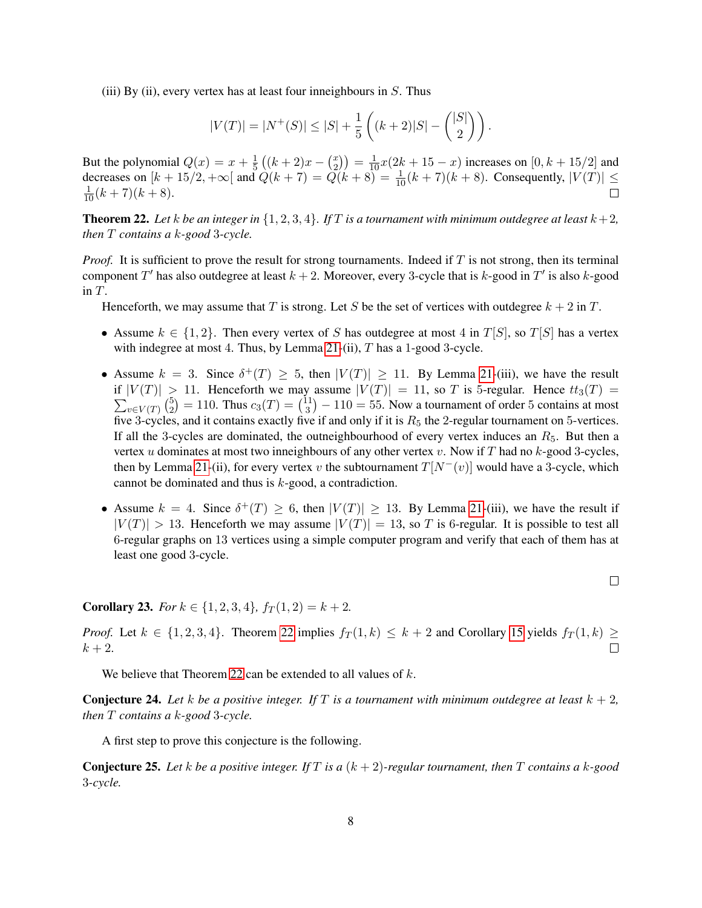(iii) By (ii), every vertex has at least four inneighbours in  $S$ . Thus

$$
|V(T)| = |N^+(S)| \le |S| + \frac{1}{5} \left( (k+2)|S| - \binom{|S|}{2} \right).
$$

But the polynomial  $Q(x) = x + \frac{1}{5}$  $\frac{1}{5}((k+2)x - \binom{x}{2})$  $\binom{x}{2}$  =  $\frac{1}{10}x(2k+15-x)$  increases on  $[0, k+15/2]$  and decreases on  $[k+15/2, +\infty[$  and  $\hat{Q}(k+7) = \hat{Q}(k+8) = \frac{1}{10}(k+7)(k+8)$ . Consequently,  $|V(T)| \le$  $\frac{1}{10}(k+7)(k+8).$  $\Box$ 

<span id="page-7-0"></span>**Theorem 22.** Let k be an integer in  $\{1, 2, 3, 4\}$ . If T is a tournament with minimum outdegree at least  $k+2$ , *then* T *contains a* k*-good* 3*-cycle.*

*Proof.* It is sufficient to prove the result for strong tournaments. Indeed if T is not strong, then its terminal component T' has also outdegree at least  $k + 2$ . Moreover, every 3-cycle that is k-good in T' is also k-good in T.

Henceforth, we may assume that T is strong. Let S be the set of vertices with outdegree  $k + 2$  in T.

- Assume  $k \in \{1,2\}$ . Then every vertex of S has outdegree at most 4 in  $T[S]$ , so  $T[S]$  has a vertex with indegree at most 4. Thus, by Lemma  $21$ -(ii),  $T$  has a 1-good 3-cycle.
- Assume  $k = 3$ . Since  $\delta^+(T) \geq 5$ , then  $|V(T)| \geq 11$ . By Lemma [21-](#page-6-1)(iii), we have the result if  $|V(T)| > 11$ . Henceforth we may assume  $|V(T)| = 11$ , so T is 5-regular. Hence  $tt_3(T) =$  $\sum_{v \in V(T)} \binom{5}{2}$  $\binom{5}{2} = 110$ . Thus  $c_3(T) = \binom{11}{3}$  $\binom{11}{3}$  – 110 = 55. Now a tournament of order 5 contains at most five 3-cycles, and it contains exactly five if and only if it is  $R_5$  the 2-regular tournament on 5-vertices. If all the 3-cycles are dominated, the outneighbourhood of every vertex induces an  $R_5$ . But then a vertex u dominates at most two inneighbours of any other vertex v. Now if T had no k-good 3-cycles, then by Lemma [21-](#page-6-1)(ii), for every vertex v the subtournament  $T[N^-(v)]$  would have a 3-cycle, which cannot be dominated and thus is  $k$ -good, a contradiction.
- Assume  $k = 4$ . Since  $\delta^+(T) \geq 6$ , then  $|V(T)| \geq 13$ . By Lemma [21-](#page-6-1)(iii), we have the result if  $|V(T)| > 13$ . Henceforth we may assume  $|V(T)| = 13$ , so T is 6-regular. It is possible to test all 6-regular graphs on 13 vertices using a simple computer program and verify that each of them has at least one good 3-cycle.

 $\Box$ 

<span id="page-7-2"></span>**Corollary 23.** *For*  $k \in \{1, 2, 3, 4\}$ ,  $f_T(1, 2) = k + 2$ .

*Proof.* Let  $k \in \{1, 2, 3, 4\}$ . Theorem [22](#page-7-0) implies  $f_T(1, k) \leq k + 2$  and Corollary [15](#page-3-1) yields  $f_T(1, k) \geq$  $k+2$ .  $\Box$ 

We believe that Theorem [22](#page-7-0) can be extended to all values of  $k$ .

<span id="page-7-1"></span>**Conjecture 24.** Let k be a positive integer. If T is a tournament with minimum outdegree at least  $k + 2$ , *then* T *contains a* k*-good* 3*-cycle.*

A first step to prove this conjecture is the following.

Conjecture 25. *Let* k *be a positive integer. If* T *is a* (k + 2)*-regular tournament, then* T *contains a* k*-good* 3*-cycle.*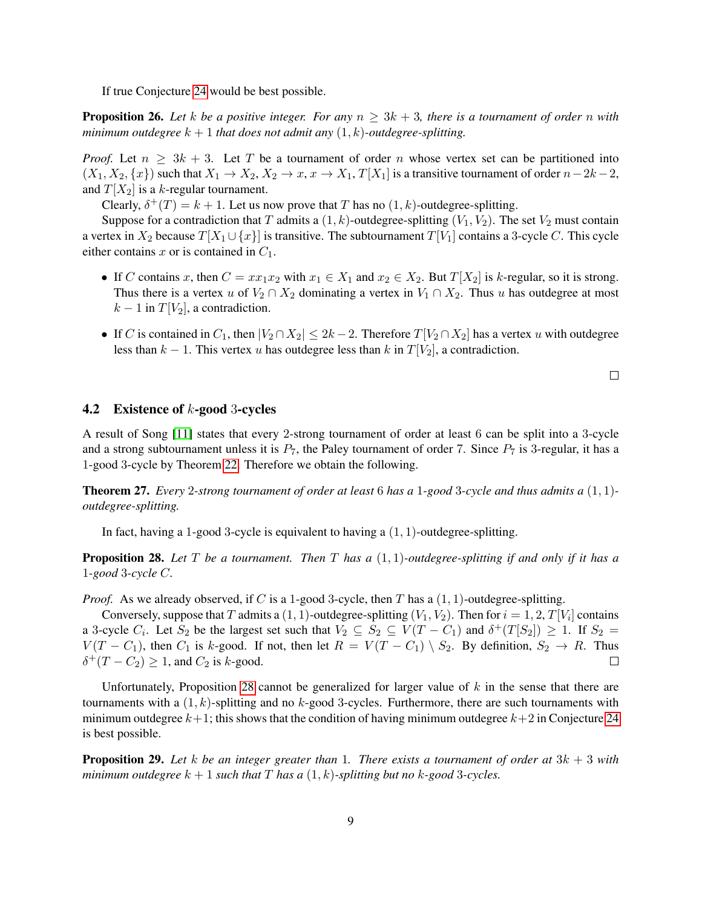If true Conjecture [24](#page-7-1) would be best possible.

<span id="page-8-1"></span>**Proposition 26.** Let k be a positive integer. For any  $n \geq 3k + 3$ , there is a tournament of order n with *minimum outdegree*  $k + 1$  *that does not admit any*  $(1, k)$ *-outdegree-splitting.* 

*Proof.* Let  $n \geq 3k + 3$ . Let T be a tournament of order n whose vertex set can be partitioned into  $(X_1, X_2, \{x\})$  such that  $X_1 \to X_2, X_2 \to x, x \to X_1, T[X_1]$  is a transitive tournament of order  $n-2k-2$ , and  $T[X_2]$  is a k-regular tournament.

Clearly,  $\delta^+(T) = k + 1$ . Let us now prove that T has no  $(1, k)$ -outdegree-splitting.

Suppose for a contradiction that T admits a  $(1, k)$ -outdegree-splitting  $(V_1, V_2)$ . The set  $V_2$  must contain a vertex in  $X_2$  because  $T[X_1 \cup \{x\}]$  is transitive. The subtournament  $T[V_1]$  contains a 3-cycle C. This cycle either contains x or is contained in  $C_1$ .

- If C contains x, then  $C = xx_1x_2$  with  $x_1 \in X_1$  and  $x_2 \in X_2$ . But  $T[X_2]$  is k-regular, so it is strong. Thus there is a vertex u of  $V_2 \cap X_2$  dominating a vertex in  $V_1 \cap X_2$ . Thus u has outdegree at most  $k-1$  in  $T[V_2]$ , a contradiction.
- If C is contained in  $C_1$ , then  $|V_2 \cap X_2| \leq 2k 2$ . Therefore  $T[V_2 \cap X_2]$  has a vertex u with outdegree less than  $k - 1$ . This vertex u has outdegree less than k in  $T[V_2]$ , a contradiction.

 $\Box$ 

#### <span id="page-8-2"></span>**4.2** Existence of  $k$ -good 3-cycles

A result of Song [\[11\]](#page-14-6) states that every 2-strong tournament of order at least 6 can be split into a 3-cycle and a strong subtournament unless it is  $P_7$ , the Paley tournament of order 7. Since  $P_7$  is 3-regular, it has a 1-good 3-cycle by Theorem [22.](#page-7-0) Therefore we obtain the following.

Theorem 27. *Every* 2*-strong tournament of order at least* 6 *has a* 1*-good* 3*-cycle and thus admits a* (1, 1) *outdegree-splitting.*

In fact, having a 1-good 3-cycle is equivalent to having a  $(1, 1)$ -outdegree-splitting.

<span id="page-8-0"></span>Proposition 28. *Let* T *be a tournament. Then* T *has a* (1, 1)*-outdegree-splitting if and only if it has a* 1*-good* 3*-cycle* C*.*

*Proof.* As we already observed, if C is a 1-good 3-cycle, then T has a  $(1, 1)$ -outdegree-splitting.

Conversely, suppose that  $T$  admits a  $(1,1)$ -outdegree-splitting  $(V_1,V_2)$ . Then for  $i=1,2,T[V_i]$  contains a 3-cycle  $C_i$ . Let  $S_2$  be the largest set such that  $V_2 \subseteq S_2 \subseteq V(T - C_1)$  and  $\delta^+(T[S_2]) \geq 1$ . If  $S_2 =$  $V(T - C_1)$ , then  $C_1$  is k-good. If not, then let  $R = V(T - C_1) \setminus S_2$ . By definition,  $S_2 \to R$ . Thus  $\delta^+(T - C_2) \geq 1$ , and  $C_2$  is k-good.  $\Box$ 

Unfortunately, Proposition [28](#page-8-0) cannot be generalized for larger value of  $k$  in the sense that there are tournaments with a  $(1, k)$ -splitting and no k-good 3-cycles. Furthermore, there are such tournaments with minimum outdegree  $k+1$ ; this shows that the condition of having minimum outdegree  $k+2$  in Conjecture [24](#page-7-1) is best possible.

**Proposition 29.** Let k be an integer greater than 1. There exists a tournament of order at  $3k + 3$  with *minimum outdegree*  $k + 1$  *such that*  $T$  *has a*  $(1, k)$ *-splitting but no*  $k$ *-good* 3*-cycles.*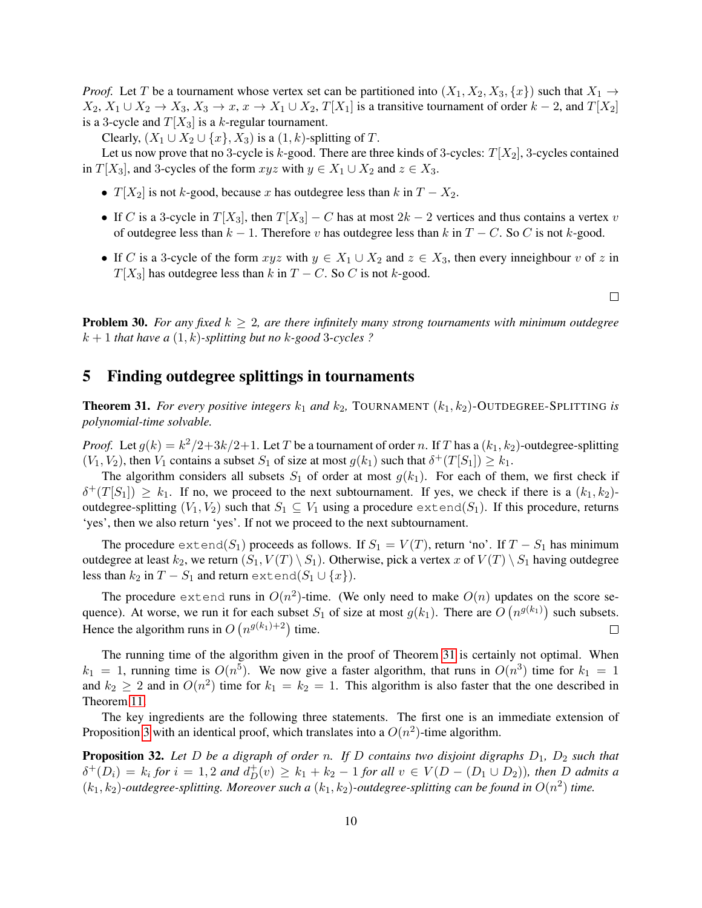*Proof.* Let T be a tournament whose vertex set can be partitioned into  $(X_1, X_2, X_3, \{x\})$  such that  $X_1 \rightarrow$  $X_2, X_1 \cup X_2 \to X_3, X_3 \to x, x \to X_1 \cup X_2, T[X_1]$  is a transitive tournament of order  $k-2$ , and  $T[X_2]$ is a 3-cycle and  $T[X_3]$  is a k-regular tournament.

Clearly,  $(X_1 \cup X_2 \cup \{x\}, X_3)$  is a  $(1, k)$ -splitting of T.

Let us now prove that no 3-cycle is k-good. There are three kinds of 3-cycles:  $T[X_2]$ , 3-cycles contained in  $T[X_3]$ , and 3-cycles of the form  $xyz$  with  $y \in X_1 \cup X_2$  and  $z \in X_3$ .

- $T[X_2]$  is not k-good, because x has outdegree less than k in  $T X_2$ .
- If C is a 3-cycle in  $T[X_3]$ , then  $T[X_3] C$  has at most  $2k 2$  vertices and thus contains a vertex v of outdegree less than  $k - 1$ . Therefore v has outdegree less than k in  $T - C$ . So C is not k-good.
- If C is a 3-cycle of the form  $xyz$  with  $y \in X_1 \cup X_2$  and  $z \in X_3$ , then every inneighbour v of z in  $T[X_3]$  has outdegree less than k in  $T - C$ . So C is not k-good.

 $\Box$ 

**Problem 30.** For any fixed  $k \geq 2$ , are there infinitely many strong tournaments with minimum outdegree  $k + 1$  *that have a*  $(1, k)$ -splitting but no k-good 3-cycles ?

## <span id="page-9-0"></span>5 Finding outdegree splittings in tournaments

<span id="page-9-1"></span>**Theorem 31.** For every positive integers  $k_1$  and  $k_2$ , TOURNAMENT  $(k_1, k_2)$ -OUTDEGREE-SPLITTING is *polynomial-time solvable.*

*Proof.* Let  $g(k) = k^2/2 + 3k/2 + 1$ . Let T be a tournament of order n. If T has a  $(k_1, k_2)$ -outdegree-splitting  $(V_1, V_2)$ , then  $V_1$  contains a subset  $S_1$  of size at most  $g(k_1)$  such that  $\delta^+(T[S_1]) \geq k_1$ .

The algorithm considers all subsets  $S_1$  of order at most  $g(k_1)$ . For each of them, we first check if  $\delta^+(T[S_1]) \geq k_1$ . If no, we proceed to the next subtournament. If yes, we check if there is a  $(k_1, k_2)$ outdegree-splitting  $(V_1, V_2)$  such that  $S_1 \subseteq V_1$  using a procedure extend( $S_1$ ). If this procedure, returns 'yes', then we also return 'yes'. If not we proceed to the next subtournament.

The procedure  $ext{end}(S_1)$  proceeds as follows. If  $S_1 = V(T)$ , return 'no'. If  $T - S_1$  has minimum outdegree at least  $k_2$ , we return  $(S_1, V(T) \setminus S_1)$ . Otherwise, pick a vertex x of  $V(T) \setminus S_1$  having outdegree less than  $k_2$  in  $T - S_1$  and return extend( $S_1 \cup \{x\}$ ).

The procedure extend runs in  $O(n^2)$ -time. (We only need to make  $O(n)$  updates on the score sequence). At worse, we run it for each subset  $S_1$  of size at most  $g(k_1)$ . There are  $O(n^{g(k_1)})$  such subsets. Hence the algorithm runs in  $O(n^{g(k_1)+2})$  time.  $\Box$ 

The running time of the algorithm given in the proof of Theorem [31](#page-9-1) is certainly not optimal. When  $k_1 = 1$ , running time is  $O(n^5)$ . We now give a faster algorithm, that runs in  $O(n^3)$  time for  $k_1 = 1$ and  $k_2 \ge 2$  and in  $O(n^2)$  time for  $k_1 = k_2 = 1$ . This algorithm is also faster that the one described in Theorem [11.](#page-2-0)

The key ingredients are the following three statements. The first one is an immediate extension of Proposition [3](#page-1-2) with an identical proof, which translates into a  $O(n^2)$ -time algorithm.

<span id="page-9-2"></span>**Proposition 32.** Let D be a digraph of order n. If D contains two disjoint digraphs  $D_1$ ,  $D_2$  such that  $\delta^+(D_i) = k_i$  for  $i = 1, 2$  and  $d^+(D_i) \geq k_1 + k_2 - 1$  for all  $v \in V(D - (D_1 \cup D_2))$ , then D admits a  $(k_1, k_2)$ -outdegree-splitting. Moreover such a  $(k_1, k_2)$ -outdegree-splitting can be found in  $O(n^2)$  time.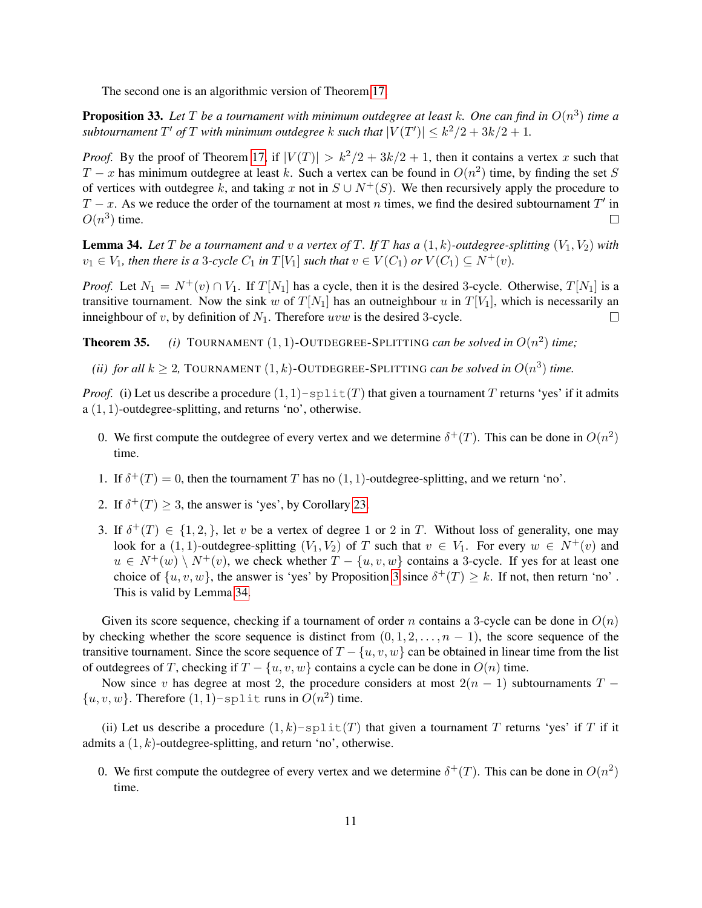The second one is an algorithmic version of Theorem [17.](#page-4-0)

<span id="page-10-1"></span>**Proposition 33.** Let T be a tournament with minimum outdegree at least k. One can find in  $O(n^3)$  time a *subtournament*  $T'$  *of*  $T$  *with minimum outdegree*  $k$  *such that*  $|V(T')| \leq k^2/2 + 3k/2 + 1$ *.* 

*Proof.* By the proof of Theorem [17,](#page-4-0) if  $|V(T)| > k^2/2 + 3k/2 + 1$ , then it contains a vertex x such that  $T - x$  has minimum outdegree at least k. Such a vertex can be found in  $O(n^2)$  time, by finding the set S of vertices with outdegree k, and taking x not in  $S \cup N^+(S)$ . We then recursively apply the procedure to  $T-x$ . As we reduce the order of the tournament at most n times, we find the desired subtournament T' in  $O(n^3)$  time.  $\Box$ 

<span id="page-10-0"></span>**Lemma 34.** Let T be a tournament and v a vertex of T. If T has a  $(1, k)$ -outdegree-splitting  $(V_1, V_2)$  with  $v_1 \in V_1$ , then there is a 3-cycle  $C_1$  in  $T[V_1]$  such that  $v \in V(C_1)$  or  $V(C_1) \subseteq N^+(v)$ .

*Proof.* Let  $N_1 = N^+(v) \cap V_1$ . If  $T[N_1]$  has a cycle, then it is the desired 3-cycle. Otherwise,  $T[N_1]$  is a transitive tournament. Now the sink w of  $T[N_1]$  has an outneighbour u in  $T[V_1]$ , which is necessarily an inneighbour of v, by definition of  $N_1$ . Therefore uvw is the desired 3-cycle.  $\Box$ 

**Theorem 35.** (i) TOURNAMENT  $(1, 1)$ -OUTDEGREE-SPLITTING *can be solved in*  $O(n^2)$  *time*;

*(ii) for all*  $k \geq 2$ , TOURNAMENT  $(1, k)$ -OUTDEGREE-SPLITTING *can be solved in*  $O(n^3)$  *time.* 

*Proof.* (i) Let us describe a procedure  $(1, 1)$  -split(T) that given a tournament T returns 'yes' if it admits a (1, 1)-outdegree-splitting, and returns 'no', otherwise.

- 0. We first compute the outdegree of every vertex and we determine  $\delta^+(T)$ . This can be done in  $O(n^2)$ time.
- 1. If  $\delta^+(T) = 0$ , then the tournament T has no  $(1, 1)$ -outdegree-splitting, and we return 'no'.
- 2. If  $\delta^+(T) \geq 3$ , the answer is 'yes', by Corollary [23.](#page-7-2)
- 3. If  $\delta^+(T) \in \{1,2,\}$ , let v be a vertex of degree 1 or 2 in T. Without loss of generality, one may look for a (1, 1)-outdegree-splitting  $(V_1, V_2)$  of T such that  $v \in V_1$ . For every  $w \in N^+(v)$  and  $u \in N^+(w) \setminus N^+(v)$ , we check whether  $T - \{u, v, w\}$  contains a 3-cycle. If yes for at least one choice of  $\{u, v, w\}$ , the answer is 'yes' by Proposition [3](#page-1-2) since  $\delta^+(T) \geq k$ . If not, then return 'no'. This is valid by Lemma [34.](#page-10-0)

Given its score sequence, checking if a tournament of order n contains a 3-cycle can be done in  $O(n)$ by checking whether the score sequence is distinct from  $(0, 1, 2, \ldots, n - 1)$ , the score sequence of the transitive tournament. Since the score sequence of  $T - \{u, v, w\}$  can be obtained in linear time from the list of outdegrees of T, checking if  $T - \{u, v, w\}$  contains a cycle can be done in  $O(n)$  time.

Now since v has degree at most 2, the procedure considers at most  $2(n - 1)$  subtournaments T −  $\{u, v, w\}$ . Therefore  $(1, 1)$ -split runs in  $O(n^2)$  time.

(ii) Let us describe a procedure  $(1, k)$ -split $(T)$  that given a tournament T returns 'yes' if T if it admits a  $(1, k)$ -outdegree-splitting, and return 'no', otherwise.

0. We first compute the outdegree of every vertex and we determine  $\delta^+(T)$ . This can be done in  $O(n^2)$ time.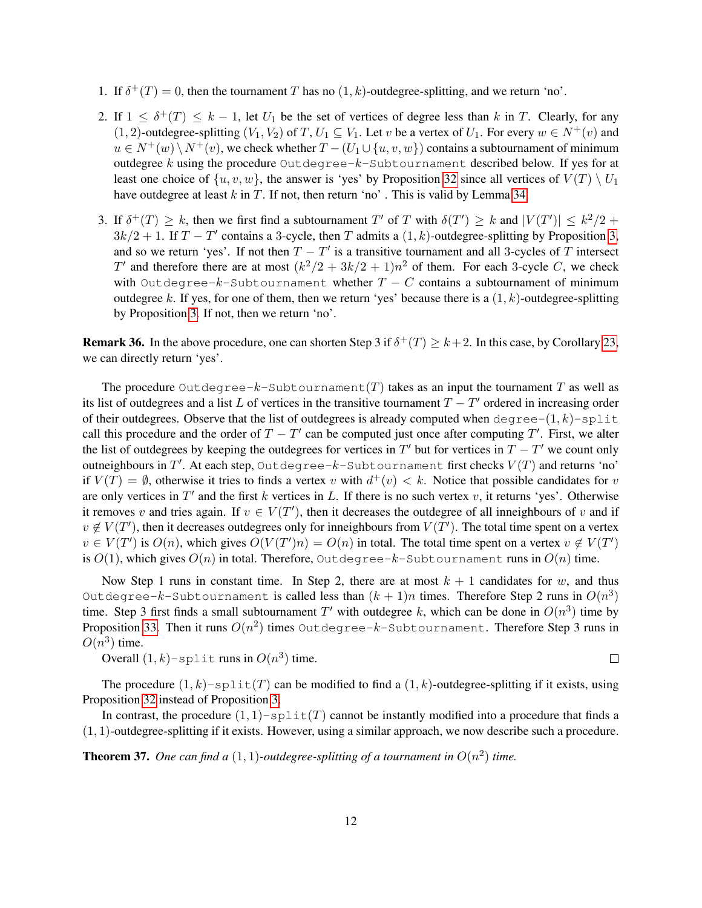- 1. If  $\delta^+(T) = 0$ , then the tournament T has no  $(1, k)$ -outdegree-splitting, and we return 'no'.
- 2. If  $1 \leq \delta^+(T) \leq k-1$ , let  $U_1$  be the set of vertices of degree less than k in T. Clearly, for any (1, 2)-outdegree-splitting  $(V_1, V_2)$  of T,  $U_1 \subseteq V_1$ . Let v be a vertex of  $U_1$ . For every  $w \in N^+(v)$  and  $u \in N^+(w) \setminus N^+(v)$ , we check whether  $T - (U_1 \cup \{u, v, w\})$  contains a subtournament of minimum outdegree  $k$  using the procedure Outdegree- $k$ -Subtournament described below. If yes for at least one choice of  $\{u, v, w\}$ , the answer is 'yes' by Proposition [32](#page-9-2) since all vertices of  $V(T) \setminus U_1$ have outdegree at least  $k$  in  $T$ . If not, then return 'no'. This is valid by Lemma [34.](#page-10-0)
- 3. If  $\delta^+(T) \geq k$ , then we first find a subtournament T' of T with  $\delta(T') \geq k$  and  $|V(T')| \leq k^2/2 + 1$  $3k/2 + 1$ . If  $T - T'$  contains a 3-cycle, then T admits a  $(1, k)$ -outdegree-splitting by Proposition [3,](#page-1-2) and so we return 'yes'. If not then  $T - T'$  is a transitive tournament and all 3-cycles of T intersect T' and therefore there are at most  $(k^2/2 + 3k/2 + 1)n^2$  of them. For each 3-cycle C, we check with Outdegree- $k$ -Subtournament whether  $T - C$  contains a subtournament of minimum outdegree k. If yes, for one of them, then we return 'yes' because there is a  $(1, k)$ -outdegree-splitting by Proposition [3.](#page-1-2) If not, then we return 'no'.

**Remark 36.** In the above procedure, one can shorten Step 3 if  $\delta^+(T) \geq k+2$ . In this case, by Corollary [23,](#page-7-2) we can directly return 'yes'.

The procedure Outdegree-k-Subtournament  $(T)$  takes as an input the tournament T as well as its list of outdegrees and a list L of vertices in the transitive tournament  $T - T'$  ordered in increasing order of their outdegrees. Observe that the list of outdegrees is already computed when degree- $(1, k)$ -split call this procedure and the order of  $T - T'$  can be computed just once after computing  $T'$ . First, we alter the list of outdegrees by keeping the outdegrees for vertices in  $T'$  but for vertices in  $T - T'$  we count only outneighbours in  $T'.$  At each step, <code>Outdegree- $k$ -Subtournament</code> first checks  $V(T)$  and returns 'no' if  $V(T) = \emptyset$ , otherwise it tries to finds a vertex v with  $d^+(v) < k$ . Notice that possible candidates for v are only vertices in  $T'$  and the first k vertices in L. If there is no such vertex v, it returns 'yes'. Otherwise it removes v and tries again. If  $v \in V(T')$ , then it decreases the outdegree of all inneighbours of v and if  $v \notin V(T')$ , then it decreases outdegrees only for inneighbours from  $V(T')$ . The total time spent on a vertex  $v \in V(T')$  is  $O(n)$ , which gives  $O(V(T')n) = O(n)$  in total. The total time spent on a vertex  $v \notin V(T')$ is  $O(1)$ , which gives  $O(n)$  in total. Therefore, Outdegree-k-Subtournament runs in  $O(n)$  time.

Now Step 1 runs in constant time. In Step 2, there are at most  $k + 1$  candidates for w, and thus Outdegree- $k$ -Subtournament is called less than  $(k+1)n$  times. Therefore Step 2 runs in  $O(n^3)$ time. Step 3 first finds a small subtournament T' with outdegree k, which can be done in  $O(n^3)$  time by Proposition [33.](#page-10-1) Then it runs  $O(n^2)$  times <code>Outdegree- $k$ -Subtournament. Therefore Step 3 runs in</code>  $O(n^3)$  time.

Overall  $(1, k)$ -split runs in  $O(n^3)$  time.

 $\Box$ 

The procedure  $(1, k)$ -split $(T)$  can be modified to find a  $(1, k)$ -outdegree-splitting if it exists, using Proposition [32](#page-9-2) instead of Proposition [3.](#page-1-2)

In contrast, the procedure  $(1, 1)$ -split(T) cannot be instantly modified into a procedure that finds a (1, 1)-outdegree-splitting if it exists. However, using a similar approach, we now describe such a procedure.

**Theorem 37.** One can find a  $(1, 1)$ -outdegree-splitting of a tournament in  $O(n^2)$  time.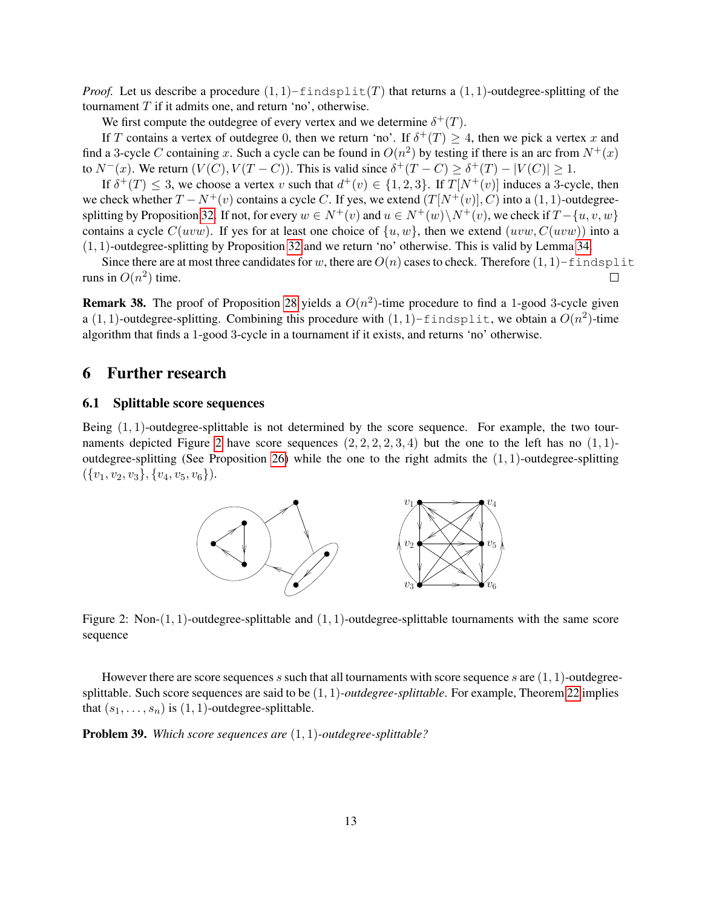*Proof.* Let us describe a procedure  $(1, 1)$ -findsplit(T) that returns a  $(1, 1)$ -outdegree-splitting of the tournament  $T$  if it admits one, and return 'no', otherwise.

We first compute the outdegree of every vertex and we determine  $\delta^+(T)$ .

If T contains a vertex of outdegree 0, then we return 'no'. If  $\delta^+(T) \geq 4$ , then we pick a vertex x and find a 3-cycle C containing x. Such a cycle can be found in  $O(n^2)$  by testing if there is an arc from  $N^+(x)$ to  $N^-(x)$ . We return  $(V(C), V(T - C))$ . This is valid since  $\delta^+(T - C) \geq \delta^+(T) - |V(C)| \geq 1$ .

If  $\delta^+(T) \leq 3$ , we choose a vertex v such that  $d^+(v) \in \{1,2,3\}$ . If  $T[N^+(v)]$  induces a 3-cycle, then we check whether  $T - N^{+}(v)$  contains a cycle C. If yes, we extend  $(T[N^{+}(v)], C)$  into a  $(1, 1)$ -outdegree-splitting by Proposition [32.](#page-9-2) If not, for every  $w \in N^+(v)$  and  $u \in N^+(w) \setminus N^+(v)$ , we check if  $T - \{u, v, w\}$ contains a cycle  $C(uvw)$ . If yes for at least one choice of  $\{u, w\}$ , then we extend  $(uvw, C(uvw))$  into a (1, 1)-outdegree-splitting by Proposition [32](#page-9-2) and we return 'no' otherwise. This is valid by Lemma [34.](#page-10-0)

Since there are at most three candidates for w, there are  $O(n)$  cases to check. Therefore  $(1, 1)$ -findsplit runs in  $O(n^2)$  time.  $\Box$ 

**Remark 38.** The proof of Proposition [28](#page-8-0) yields a  $O(n^2)$ -time procedure to find a 1-good 3-cycle given a (1, 1)-outdegree-splitting. Combining this procedure with  $(1, 1)$ -findsplit, we obtain a  $O(n^2)$ -time algorithm that finds a 1-good 3-cycle in a tournament if it exists, and returns 'no' otherwise.

## <span id="page-12-0"></span>6 Further research

#### 6.1 Splittable score sequences

Being  $(1, 1)$ -outdegree-splittable is not determined by the score sequence. For example, the two tour-naments depicted Figure [2](#page-12-1) have score sequences  $(2, 2, 2, 2, 3, 4)$  but the one to the left has no  $(1, 1)$ -outdegree-splitting (See Proposition [26\)](#page-8-1) while the one to the right admits the  $(1, 1)$ -outdegree-splitting  $({v_1, v_2, v_3}, {v_4, v_5, v_6}).$ 



<span id="page-12-1"></span>Figure 2: Non- $(1, 1)$ -outdegree-splittable and  $(1, 1)$ -outdegree-splittable tournaments with the same score sequence

However there are score sequences s such that all tournaments with score sequence s are  $(1, 1)$ -outdegreesplittable. Such score sequences are said to be (1, 1)*-outdegree-splittable*. For example, Theorem [22](#page-7-0) implies that  $(s_1, \ldots, s_n)$  is  $(1, 1)$ -outdegree-splittable.

Problem 39. *Which score sequences are* (1, 1)*-outdegree-splittable?*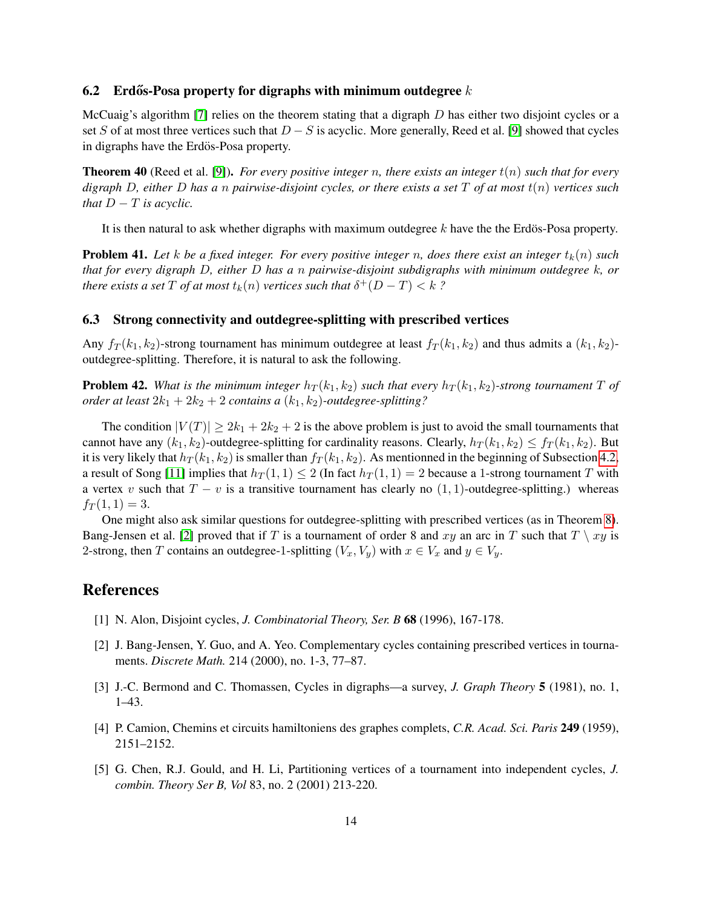#### 6.2 Erdős-Posa property for digraphs with minimum outdegree  $k$

McCuaig's algorithm [\[7\]](#page-14-2) relies on the theorem stating that a digraph  $D$  has either two disjoint cycles or a set S of at most three vertices such that  $D - S$  is acyclic. More generally, Reed et al. [\[9\]](#page-14-3) showed that cycles in digraphs have the Erdös-Posa property.

Theorem 40 (Reed et al. [\[9\]](#page-14-3)). *For every positive integer* n*, there exists an integer* t(n) *such that for every digraph* D*, either* D *has a* n *pairwise-disjoint cycles, or there exists a set* T *of at most* t(n) *vertices such that*  $D - T$  *is acyclic.* 

It is then natural to ask whether digraphs with maximum outdegree  $k$  have the the Erdös-Posa property.

**Problem 41.** Let k be a fixed integer. For every positive integer n, does there exist an integer  $t_k(n)$  such *that for every digraph* D*, either* D *has a* n *pairwise-disjoint subdigraphs with minimum outdegree* k*, or there exists a set*  $T$  *of at most*  $t_k(n)$  *vertices such that*  $\delta^+(D-T) < k$  *?* 

#### 6.3 Strong connectivity and outdegree-splitting with prescribed vertices

Any  $f_T(k_1, k_2)$ -strong tournament has minimum outdegree at least  $f_T(k_1, k_2)$  and thus admits a  $(k_1, k_2)$ outdegree-splitting. Therefore, it is natural to ask the following.

**Problem 42.** *What is the minimum integer*  $h_T(k_1, k_2)$  *such that every*  $h_T(k_1, k_2)$ *-strong tournament* T of *order at least*  $2k_1 + 2k_2 + 2$  *contains a*  $(k_1, k_2)$ *-outdegree-splitting?* 

The condition  $|V(T)| \ge 2k_1 + 2k_2 + 2$  is the above problem is just to avoid the small tournaments that cannot have any  $(k_1, k_2)$ -outdegree-splitting for cardinality reasons. Clearly,  $h_T(k_1, k_2) \leq f_T(k_1, k_2)$ . But it is very likely that  $h_T(k_1, k_2)$  is smaller than  $f_T(k_1, k_2)$ . As mentionned in the beginning of Subsection [4.2,](#page-8-2) a result of Song [\[11\]](#page-14-6) implies that  $h_T(1,1) \leq 2$  (In fact  $h_T(1,1) = 2$  because a 1-strong tournament T with a vertex v such that  $T - v$  is a transitive tournament has clearly no  $(1, 1)$ -outdegree-splitting.) whereas  $f_T(1,1) = 3.$ 

One might also ask similar questions for outdegree-splitting with prescribed vertices (as in Theorem [8\)](#page-1-3). Bang-Jensen et al. [\[2\]](#page-13-3) proved that if T is a tournament of order 8 and xy an arc in T such that  $T \setminus xy$  is 2-strong, then T contains an outdegree-1-splitting  $(V_x, V_y)$  with  $x \in V_x$  and  $y \in V_y$ .

# **References**

- <span id="page-13-0"></span>[1] N. Alon, Disjoint cycles, *J. Combinatorial Theory, Ser. B* 68 (1996), 167-178.
- <span id="page-13-3"></span>[2] J. Bang-Jensen, Y. Guo, and A. Yeo. Complementary cycles containing prescribed vertices in tournaments. *Discrete Math.* 214 (2000), no. 1-3, 77–87.
- <span id="page-13-1"></span>[3] J.-C. Bermond and C. Thomassen, Cycles in digraphs—a survey, *J. Graph Theory* 5 (1981), no. 1, 1–43.
- <span id="page-13-2"></span>[4] P. Camion, Chemins et circuits hamiltoniens des graphes complets, *C.R. Acad. Sci. Paris* 249 (1959), 2151–2152.
- [5] G. Chen, R.J. Gould, and H. Li, Partitioning vertices of a tournament into independent cycles, *J. combin. Theory Ser B, Vol* 83, no. 2 (2001) 213-220.